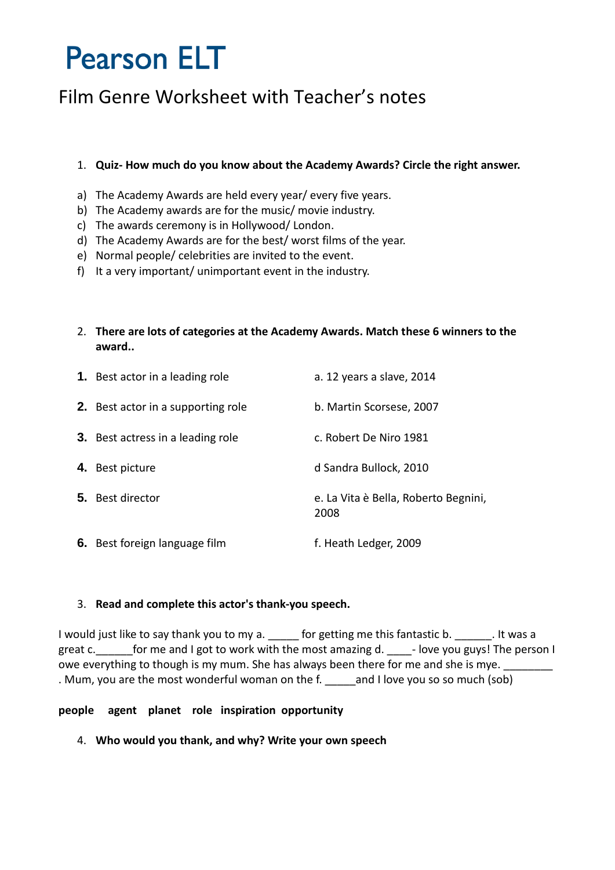# **Pearson ELT**

### Film Genre Worksheet with Teacher's notes

#### 1. **Quiz- How much do you know about the Academy Awards? Circle the right answer.**

- a) The Academy Awards are held every year/ every five years.
- b) The Academy awards are for the music/ movie industry.
- c) The awards ceremony is in Hollywood/ London.
- d) The Academy Awards are for the best/ worst films of the year.
- e) Normal people/ celebrities are invited to the event.
- f) It a very important/ unimportant event in the industry.
- 2. **There are lots of categories at the Academy Awards. Match these 6 winners to the award..**

| <b>1.</b> Best actor in a leading role    | a. 12 years a slave, 2014                    |
|-------------------------------------------|----------------------------------------------|
| <b>2.</b> Best actor in a supporting role | b. Martin Scorsese, 2007                     |
| <b>3.</b> Best actress in a leading role  | c. Robert De Niro 1981                       |
| 4. Best picture                           | d Sandra Bullock, 2010                       |
| 5. Best director                          | e. La Vita è Bella, Roberto Begnini,<br>2008 |
| 6. Best foreign language film             | f. Heath Ledger, 2009                        |

#### 3. **Read and complete this actor's thank-you speech.**

I would just like to say thank you to my a. <br>I more getting me this fantastic b. The was a great c. \_\_\_\_\_\_\_for me and I got to work with the most amazing d.  $\Box$  - love you guys! The person I owe everything to though is my mum. She has always been there for me and she is mye. . Mum, you are the most wonderful woman on the f. and I love you so so much (sob)

#### **people agent planet role inspiration opportunity**

4. **Who would you thank, and why? Write your own speech**